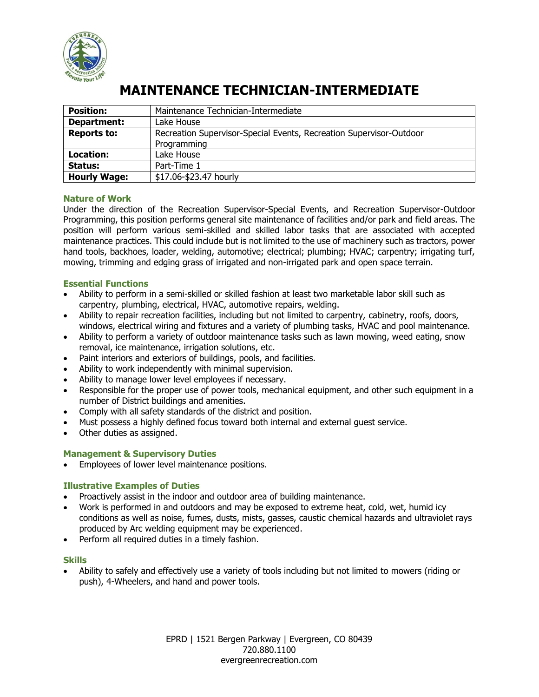

# **MAINTENANCE TECHNICIAN-INTERMEDIATE**

| <b>Position:</b>    | Maintenance Technician-Intermediate                                 |  |  |  |  |
|---------------------|---------------------------------------------------------------------|--|--|--|--|
| Department:         | Lake House                                                          |  |  |  |  |
| <b>Reports to:</b>  | Recreation Supervisor-Special Events, Recreation Supervisor-Outdoor |  |  |  |  |
|                     | Programming                                                         |  |  |  |  |
| Location:           | Lake House                                                          |  |  |  |  |
| Status:             | Part-Time 1                                                         |  |  |  |  |
| <b>Hourly Wage:</b> | \$17.06-\$23.47 hourly                                              |  |  |  |  |

# **Nature of Work**

Under the direction of the Recreation Supervisor-Special Events, and Recreation Supervisor-Outdoor Programming, this position performs general site maintenance of facilities and/or park and field areas. The position will perform various semi-skilled and skilled labor tasks that are associated with accepted maintenance practices. This could include but is not limited to the use of machinery such as tractors, power hand tools, backhoes, loader, welding, automotive; electrical; plumbing; HVAC; carpentry; irrigating turf, mowing, trimming and edging grass of irrigated and non-irrigated park and open space terrain.

#### **Essential Functions**

- Ability to perform in a semi-skilled or skilled fashion at least two marketable labor skill such as carpentry, plumbing, electrical, HVAC, automotive repairs, welding.
- Ability to repair recreation facilities, including but not limited to carpentry, cabinetry, roofs, doors, windows, electrical wiring and fixtures and a variety of plumbing tasks, HVAC and pool maintenance.
- Ability to perform a variety of outdoor maintenance tasks such as lawn mowing, weed eating, snow removal, ice maintenance, irrigation solutions, etc.
- Paint interiors and exteriors of buildings, pools, and facilities.
- Ability to work independently with minimal supervision.
- Ability to manage lower level employees if necessary.
- Responsible for the proper use of power tools, mechanical equipment, and other such equipment in a number of District buildings and amenities.
- Comply with all safety standards of the district and position.
- Must possess a highly defined focus toward both internal and external guest service.
- Other duties as assigned.

#### **Management & Supervisory Duties**

**Employees of lower level maintenance positions.** 

#### **Illustrative Examples of Duties**

- Proactively assist in the indoor and outdoor area of building maintenance.
- Work is performed in and outdoors and may be exposed to extreme heat, cold, wet, humid icy conditions as well as noise, fumes, dusts, mists, gasses, caustic chemical hazards and ultraviolet rays produced by Arc welding equipment may be experienced.
- Perform all required duties in a timely fashion.

#### **Skills**

 Ability to safely and effectively use a variety of tools including but not limited to mowers (riding or push), 4-Wheelers, and hand and power tools.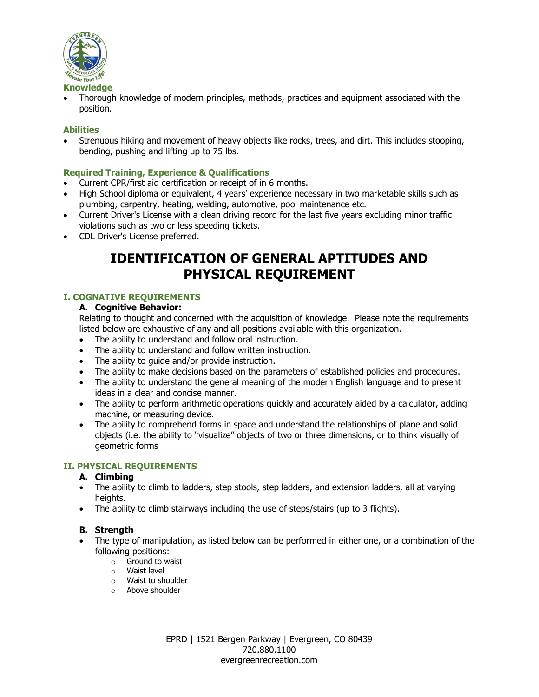

 Thorough knowledge of modern principles, methods, practices and equipment associated with the position.

### **Abilities**

 Strenuous hiking and movement of heavy objects like rocks, trees, and dirt. This includes stooping, bending, pushing and lifting up to 75 lbs.

### **Required Training, Experience & Qualifications**

- Current CPR/first aid certification or receipt of in 6 months.
- High School diploma or equivalent, 4 years' experience necessary in two marketable skills such as plumbing, carpentry, heating, welding, automotive, pool maintenance etc.
- Current Driver's License with a clean driving record for the last five years excluding minor traffic violations such as two or less speeding tickets.
- CDL Driver's License preferred.

# **IDENTIFICATION OF GENERAL APTITUDES AND PHYSICAL REQUIREMENT**

# **I. COGNATIVE REQUIREMENTS**

#### **A. Cognitive Behavior:**

Relating to thought and concerned with the acquisition of knowledge. Please note the requirements listed below are exhaustive of any and all positions available with this organization.

- The ability to understand and follow oral instruction.
- The ability to understand and follow written instruction.
- The ability to quide and/or provide instruction.
- The ability to make decisions based on the parameters of established policies and procedures.
- The ability to understand the general meaning of the modern English language and to present ideas in a clear and concise manner.
- The ability to perform arithmetic operations quickly and accurately aided by a calculator, adding machine, or measuring device.
- The ability to comprehend forms in space and understand the relationships of plane and solid objects (i.e. the ability to "visualize" objects of two or three dimensions, or to think visually of geometric forms

#### **II. PHYSICAL REQUIREMENTS**

#### **A. Climbing**

- The ability to climb to ladders, step stools, step ladders, and extension ladders, all at varying heights.
- The ability to climb stairways including the use of steps/stairs (up to 3 flights).

#### **B. Strength**

- The type of manipulation, as listed below can be performed in either one, or a combination of the following positions:
	- o Ground to waist
	- o Waist level
	- o Waist to shoulder
	- o Above shoulder

EPRD | 1521 Bergen Parkway | Evergreen, CO 80439 720.880.1100 evergreenrecreation.com